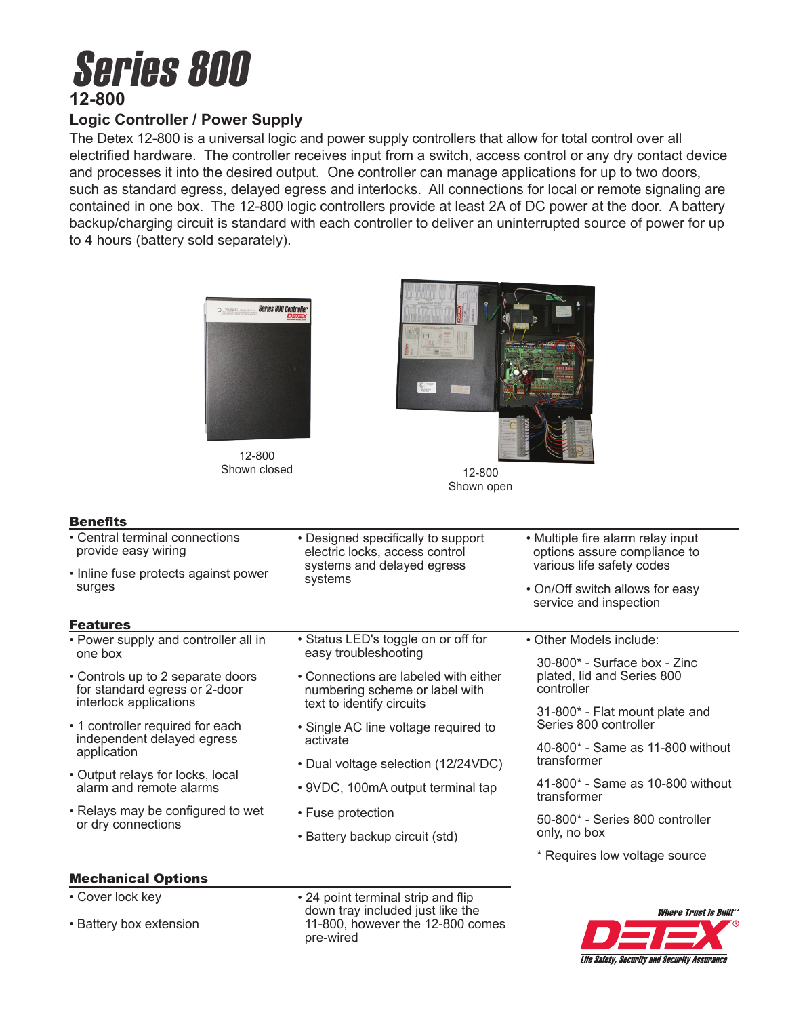# **Series 800 12-800**

# **Logic Controller / Power Supply**

The Detex 12-800 is a universal logic and power supply controllers that allow for total control over all electrified hardware. The controller receives input from a switch, access control or any dry contact device and processes it into the desired output. One controller can manage applications for up to two doors, such as standard egress, delayed egress and interlocks. All connections for local or remote signaling are contained in one box. The 12-800 logic controllers provide at least 2A of DC power at the door. A battery backup/charging circuit is standard with each controller to deliver an uninterrupted source of power for up to 4 hours (battery sold separately).



12-800 Shown closed 12-800



Shown open

### **Benefits**

| • Central terminal connections<br>provide easy wiring                         | • Designed specifically to support<br>electric locks, access control<br>systems and delayed egress<br>systems | • Multiple fire alarm relay input<br>options assure compliance to                      |
|-------------------------------------------------------------------------------|---------------------------------------------------------------------------------------------------------------|----------------------------------------------------------------------------------------|
| • Inline fuse protects against power<br>surges                                |                                                                                                               | various life safety codes<br>• On/Off switch allows for easy<br>service and inspection |
| <b>Features</b>                                                               |                                                                                                               |                                                                                        |
| • Power supply and controller all in<br>one box                               | • Status LED's toggle on or off for<br>easy troubleshooting                                                   | • Other Models include:                                                                |
|                                                                               |                                                                                                               | $30-800$ * - Surface box - Zinc                                                        |
| • Controls up to 2 separate doors<br>for standard egress or 2-door            | • Connections are labeled with either<br>numbering scheme or label with<br>text to identify circuits          | plated, lid and Series 800<br>controller                                               |
| interlock applications                                                        |                                                                                                               | 31-800* - Flat mount plate and                                                         |
| • 1 controller required for each<br>independent delayed egress<br>application | • Single AC line voltage required to<br>activate                                                              | Series 800 controller                                                                  |
|                                                                               |                                                                                                               | 40-800* - Same as 11-800 without<br>transformer                                        |
| • Output relays for locks, local<br>alarm and remote alarms                   | • Dual voltage selection (12/24VDC)                                                                           |                                                                                        |
|                                                                               | • 9VDC, 100mA output terminal tap                                                                             | 41-800* - Same as 10-800 without<br>transformer                                        |
| • Relays may be configured to wet<br>or dry connections                       | • Fuse protection                                                                                             | 50-800* - Series 800 controller<br>only, no box                                        |
|                                                                               | • Battery backup circuit (std)                                                                                |                                                                                        |
|                                                                               |                                                                                                               | * Requires low voltage source                                                          |
| <b>Mechanical Options</b>                                                     |                                                                                                               |                                                                                        |
| $\sim$ $\sim$ $\sim$ $\sim$ $\sim$                                            | $\sim$ $\sim$                                                                                                 |                                                                                        |

- Cover lock key
- Battery box extension

• 24 point terminal strip and flip down tray included just like the 11-800, however the 12-800 comes pre-wired